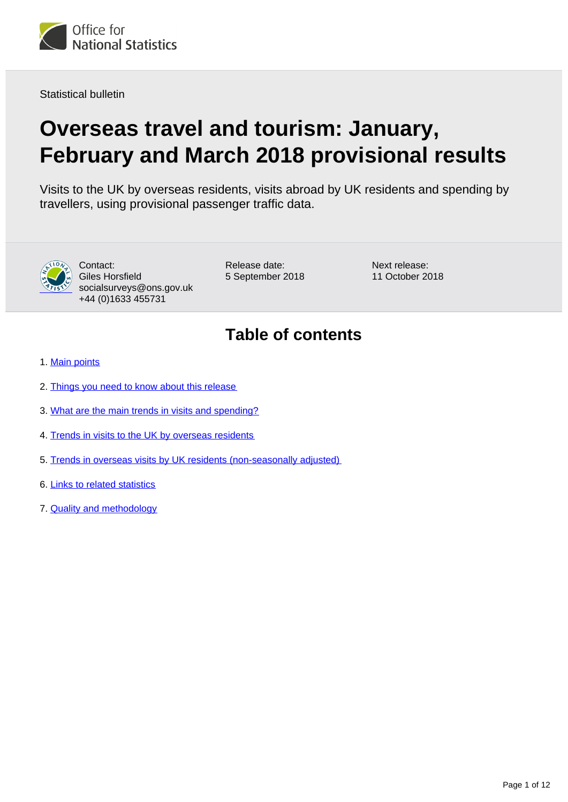

Statistical bulletin

# **Overseas travel and tourism: January, February and March 2018 provisional results**

Visits to the UK by overseas residents, visits abroad by UK residents and spending by travellers, using provisional passenger traffic data.



Contact: Giles Horsfield socialsurveys@ons.gov.uk +44 (0)1633 455731

Release date: 5 September 2018 Next release: 11 October 2018

### **Table of contents**

- 1. [Main points](#page-1-0)
- 2. [Things you need to know about this release](#page-1-1)
- 3. [What are the main trends in visits and spending?](#page-2-0)
- 4. [Trends in visits to the UK by overseas residents](#page-3-0)
- 5. [Trends in overseas visits by UK residents \(non-seasonally adjusted\)](#page-5-0)
- 6. [Links to related statistics](#page-7-0)
- 7. [Quality and methodology](#page-8-0)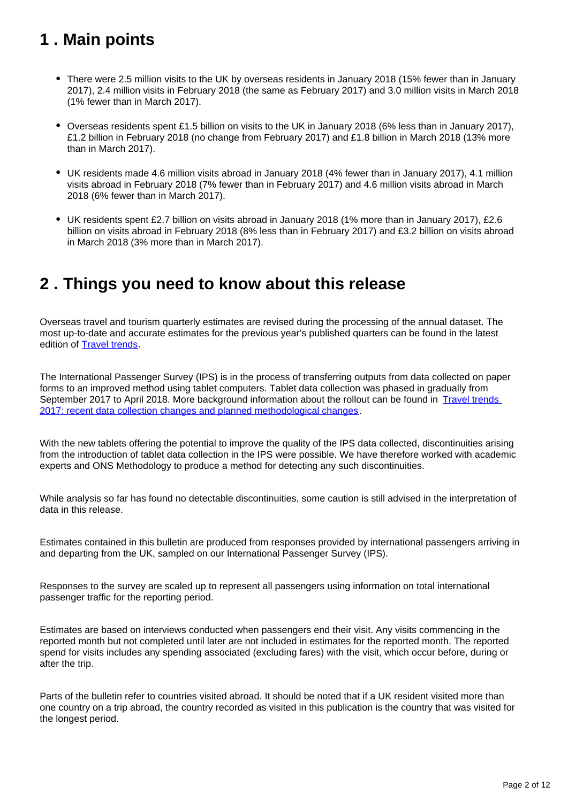### <span id="page-1-0"></span>**1 . Main points**

- There were 2.5 million visits to the UK by overseas residents in January 2018 (15% fewer than in January 2017), 2.4 million visits in February 2018 (the same as February 2017) and 3.0 million visits in March 2018 (1% fewer than in March 2017).
- Overseas residents spent £1.5 billion on visits to the UK in January 2018 (6% less than in January 2017), £1.2 billion in February 2018 (no change from February 2017) and £1.8 billion in March 2018 (13% more than in March 2017).
- UK residents made 4.6 million visits abroad in January 2018 (4% fewer than in January 2017), 4.1 million visits abroad in February 2018 (7% fewer than in February 2017) and 4.6 million visits abroad in March 2018 (6% fewer than in March 2017).
- UK residents spent £2.7 billion on visits abroad in January 2018 (1% more than in January 2017), £2.6 billion on visits abroad in February 2018 (8% less than in February 2017) and £3.2 billion on visits abroad in March 2018 (3% more than in March 2017).

### <span id="page-1-1"></span>**2 . Things you need to know about this release**

Overseas travel and tourism quarterly estimates are revised during the processing of the annual dataset. The most up-to-date and accurate estimates for the previous year's published quarters can be found in the latest edition of **Travel trends**.

The International Passenger Survey (IPS) is in the process of transferring outputs from data collected on paper forms to an improved method using tablet computers. Tablet data collection was phased in gradually from September 2017 to April 2018. More background information about the rollout can be found in Travel trends [2017: recent data collection changes and planned methodological changes.](https://www.ons.gov.uk/peoplepopulationandcommunity/leisureandtourism/articles/traveltrends2017recentdatacollectionchangesandplannedmethodologicalchanges/2018-07-20)

With the new tablets offering the potential to improve the quality of the IPS data collected, discontinuities arising from the introduction of tablet data collection in the IPS were possible. We have therefore worked with academic experts and ONS Methodology to produce a method for detecting any such discontinuities.

While analysis so far has found no detectable discontinuities, some caution is still advised in the interpretation of data in this release.

Estimates contained in this bulletin are produced from responses provided by international passengers arriving in and departing from the UK, sampled on our International Passenger Survey (IPS).

Responses to the survey are scaled up to represent all passengers using information on total international passenger traffic for the reporting period.

Estimates are based on interviews conducted when passengers end their visit. Any visits commencing in the reported month but not completed until later are not included in estimates for the reported month. The reported spend for visits includes any spending associated (excluding fares) with the visit, which occur before, during or after the trip.

Parts of the bulletin refer to countries visited abroad. It should be noted that if a UK resident visited more than one country on a trip abroad, the country recorded as visited in this publication is the country that was visited for the longest period.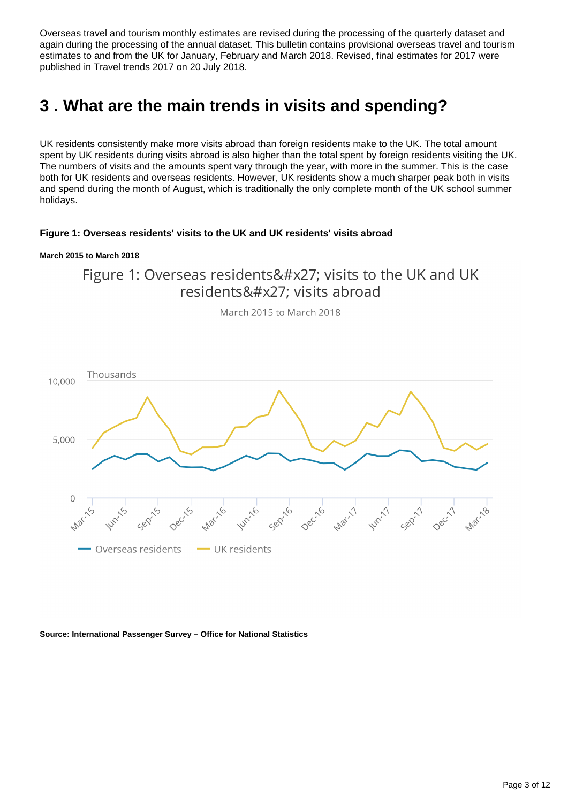Overseas travel and tourism monthly estimates are revised during the processing of the quarterly dataset and again during the processing of the annual dataset. This bulletin contains provisional overseas travel and tourism estimates to and from the UK for January, February and March 2018. Revised, final estimates for 2017 were published in Travel trends 2017 on 20 July 2018.

## <span id="page-2-0"></span>**3 . What are the main trends in visits and spending?**

UK residents consistently make more visits abroad than foreign residents make to the UK. The total amount spent by UK residents during visits abroad is also higher than the total spent by foreign residents visiting the UK. The numbers of visits and the amounts spent vary through the year, with more in the summer. This is the case both for UK residents and overseas residents. However, UK residents show a much sharper peak both in visits and spend during the month of August, which is traditionally the only complete month of the UK school summer holidays.

#### **Figure 1: Overseas residents' visits to the UK and UK residents' visits abroad**

#### **March 2015 to March 2018**

Figure 1: Overseas residents' visits to the UK and UK residents' visits abroad



March 2015 to March 2018

#### **Source: International Passenger Survey – Office for National Statistics**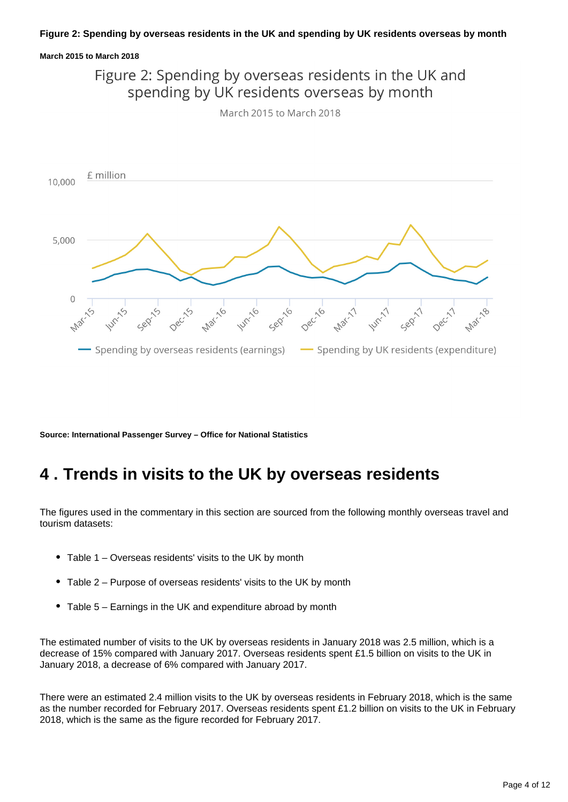#### **March 2015 to March 2018**



**Source: International Passenger Survey – Office for National Statistics**

### <span id="page-3-0"></span>**4 . Trends in visits to the UK by overseas residents**

The figures used in the commentary in this section are sourced from the following monthly overseas travel and tourism datasets:

- Table 1 Overseas residents' visits to the UK by month
- Table 2 Purpose of overseas residents' visits to the UK by month
- Table 5 Earnings in the UK and expenditure abroad by month

The estimated number of visits to the UK by overseas residents in January 2018 was 2.5 million, which is a decrease of 15% compared with January 2017. Overseas residents spent £1.5 billion on visits to the UK in January 2018, a decrease of 6% compared with January 2017.

There were an estimated 2.4 million visits to the UK by overseas residents in February 2018, which is the same as the number recorded for February 2017. Overseas residents spent £1.2 billion on visits to the UK in February 2018, which is the same as the figure recorded for February 2017.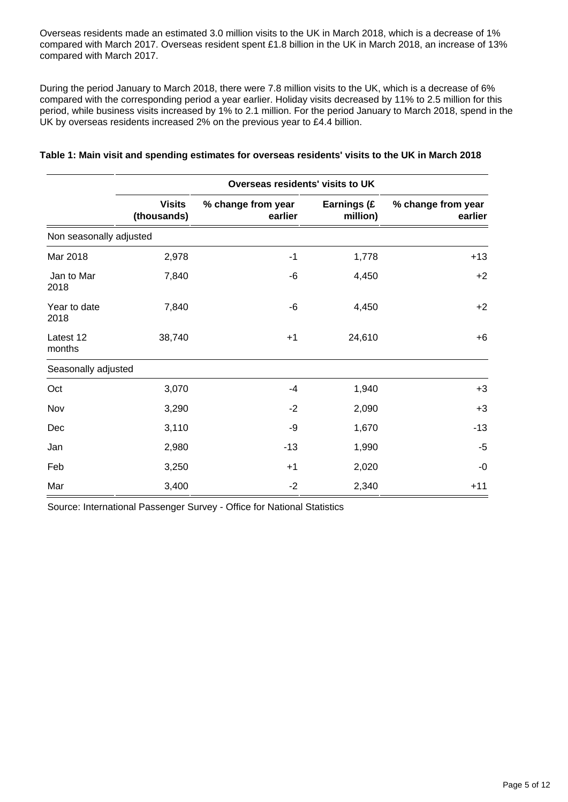Overseas residents made an estimated 3.0 million visits to the UK in March 2018, which is a decrease of 1% compared with March 2017. Overseas resident spent £1.8 billion in the UK in March 2018, an increase of 13% compared with March 2017.

During the period January to March 2018, there were 7.8 million visits to the UK, which is a decrease of 6% compared with the corresponding period a year earlier. Holiday visits decreased by 11% to 2.5 million for this period, while business visits increased by 1% to 2.1 million. For the period January to March 2018, spend in the UK by overseas residents increased 2% on the previous year to £4.4 billion.

|                         | Overseas residents' visits to UK |                               |                         |                               |  |  |
|-------------------------|----------------------------------|-------------------------------|-------------------------|-------------------------------|--|--|
|                         | <b>Visits</b><br>(thousands)     | % change from year<br>earlier | Earnings (£<br>million) | % change from year<br>earlier |  |  |
| Non seasonally adjusted |                                  |                               |                         |                               |  |  |
| Mar 2018                | 2,978                            | $-1$                          | 1,778                   | $+13$                         |  |  |
| Jan to Mar<br>2018      | 7,840                            | -6                            | 4,450                   | $+2$                          |  |  |
| Year to date<br>2018    | 7,840                            | -6                            | 4,450                   | $+2$                          |  |  |
| Latest 12<br>months     | 38,740                           | $+1$                          | 24,610                  | $+6$                          |  |  |
| Seasonally adjusted     |                                  |                               |                         |                               |  |  |
| Oct                     | 3,070                            | $-4$                          | 1,940                   | $+3$                          |  |  |
| Nov                     | 3,290                            | $-2$                          | 2,090                   | $+3$                          |  |  |
| Dec                     | 3,110                            | -9                            | 1,670                   | $-13$                         |  |  |
| Jan                     | 2,980                            | $-13$                         | 1,990                   | $-5$                          |  |  |
| Feb                     | 3,250                            | $+1$                          | 2,020                   | $-0$                          |  |  |
| Mar                     | 3,400                            | $-2$                          | 2,340                   | $+11$                         |  |  |

#### **Table 1: Main visit and spending estimates for overseas residents' visits to the UK in March 2018**

Source: International Passenger Survey - Office for National Statistics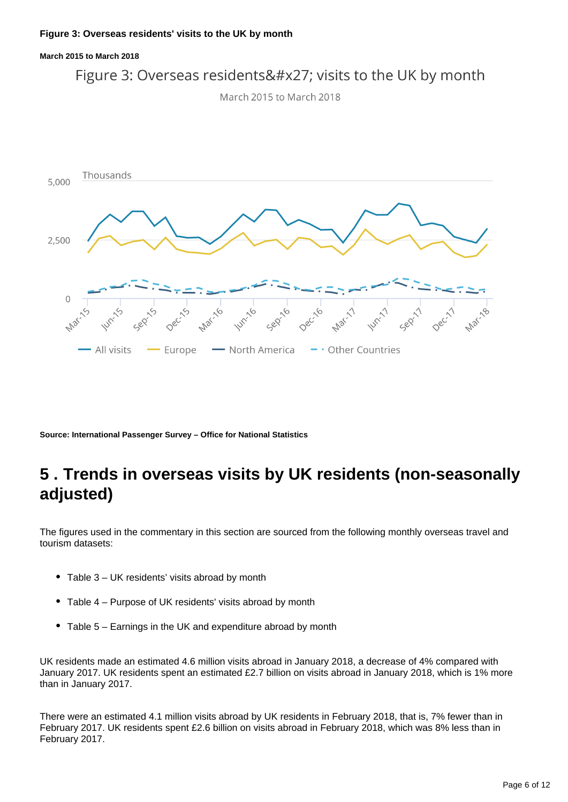

**Source: International Passenger Survey – Office for National Statistics**

### <span id="page-5-0"></span>**5 . Trends in overseas visits by UK residents (non-seasonally adjusted)**

The figures used in the commentary in this section are sourced from the following monthly overseas travel and tourism datasets:

- Table 3 UK residents' visits abroad by month
- Table 4 Purpose of UK residents' visits abroad by month
- Table 5 Earnings in the UK and expenditure abroad by month

UK residents made an estimated 4.6 million visits abroad in January 2018, a decrease of 4% compared with January 2017. UK residents spent an estimated £2.7 billion on visits abroad in January 2018, which is 1% more than in January 2017.

There were an estimated 4.1 million visits abroad by UK residents in February 2018, that is, 7% fewer than in February 2017. UK residents spent £2.6 billion on visits abroad in February 2018, which was 8% less than in February 2017.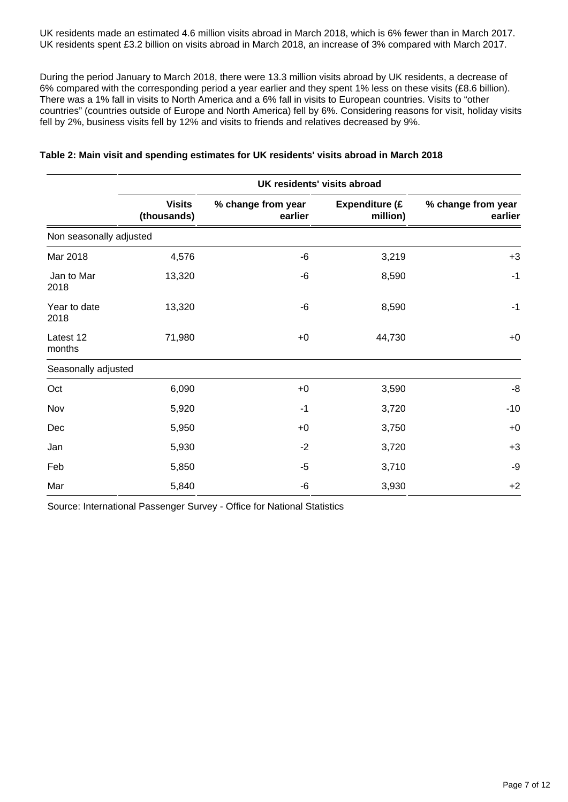UK residents made an estimated 4.6 million visits abroad in March 2018, which is 6% fewer than in March 2017. UK residents spent £3.2 billion on visits abroad in March 2018, an increase of 3% compared with March 2017.

During the period January to March 2018, there were 13.3 million visits abroad by UK residents, a decrease of 6% compared with the corresponding period a year earlier and they spent 1% less on these visits (£8.6 billion). There was a 1% fall in visits to North America and a 6% fall in visits to European countries. Visits to "other countries" (countries outside of Europe and North America) fell by 6%. Considering reasons for visit, holiday visits fell by 2%, business visits fell by 12% and visits to friends and relatives decreased by 9%.

|                         | UK residents' visits abroad  |                               |                                   |                               |  |
|-------------------------|------------------------------|-------------------------------|-----------------------------------|-------------------------------|--|
|                         | <b>Visits</b><br>(thousands) | % change from year<br>earlier | <b>Expenditure (£</b><br>million) | % change from year<br>earlier |  |
| Non seasonally adjusted |                              |                               |                                   |                               |  |
| Mar 2018                | 4,576                        | -6                            | 3,219                             | $+3$                          |  |
| Jan to Mar<br>2018      | 13,320                       | -6                            | 8,590                             | $-1$                          |  |
| Year to date<br>2018    | 13,320                       | -6                            | 8,590                             | $-1$                          |  |
| Latest 12<br>months     | 71,980                       | $+0$                          | 44,730                            | $+0$                          |  |
| Seasonally adjusted     |                              |                               |                                   |                               |  |
| Oct                     | 6,090                        | $+0$                          | 3,590                             | -8                            |  |
| Nov                     | 5,920                        | $-1$                          | 3,720                             | $-10$                         |  |
| Dec                     | 5,950                        | $+0$                          | 3,750                             | $+0$                          |  |
| Jan                     | 5,930                        | $-2$                          | 3,720                             | $+3$                          |  |
| Feb                     | 5,850                        | $-5$                          | 3,710                             | -9                            |  |
| Mar                     | 5,840                        | -6                            | 3,930                             | $+2$                          |  |

#### **Table 2: Main visit and spending estimates for UK residents' visits abroad in March 2018**

Source: International Passenger Survey - Office for National Statistics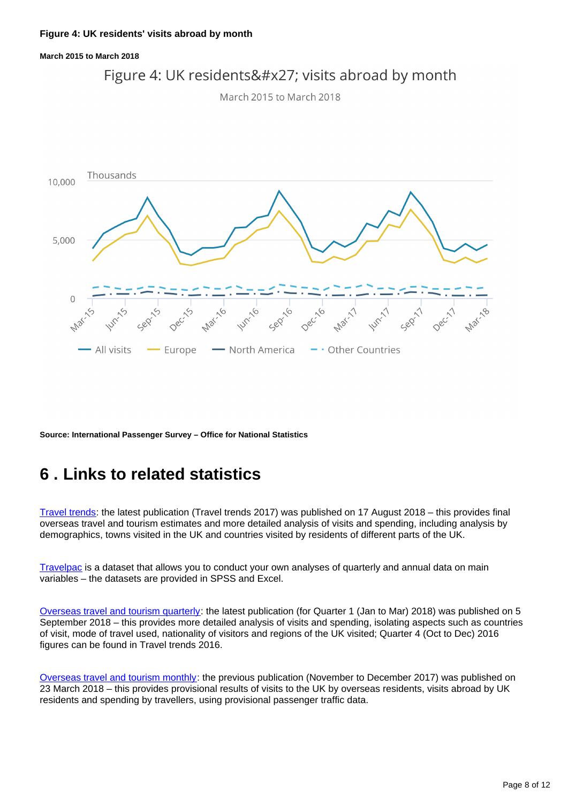#### **March 2015 to March 2018**



March 2015 to March 2018



**Source: International Passenger Survey – Office for National Statistics**

### <span id="page-7-0"></span>**6 . Links to related statistics**

[Travel trends:](http://www.ons.gov.uk/peoplepopulationandcommunity/leisureandtourism/articles/traveltrends/previousReleases) the latest publication (Travel trends 2017) was published on 17 August 2018 – this provides final overseas travel and tourism estimates and more detailed analysis of visits and spending, including analysis by demographics, towns visited in the UK and countries visited by residents of different parts of the UK.

[Travelpac](http://www.ons.gov.uk/peoplepopulationandcommunity/leisureandtourism/datasets/travelpac) is a dataset that allows you to conduct your own analyses of quarterly and annual data on main variables – the datasets are provided in SPSS and Excel.

[Overseas travel and tourism quarterly](http://www.ons.gov.uk/peoplepopulationandcommunity/leisureandtourism/articles/overseastravelandtourismprovisionalresults/previousReleases): the latest publication (for Quarter 1 (Jan to Mar) 2018) was published on 5 September 2018 – this provides more detailed analysis of visits and spending, isolating aspects such as countries of visit, mode of travel used, nationality of visitors and regions of the UK visited; Quarter 4 (Oct to Dec) 2016 figures can be found in Travel trends 2016.

[Overseas travel and tourism monthly:](https://www.ons.gov.uk/peoplepopulationandcommunity/leisureandtourism/bulletins/overseastravelandtourism/previousReleases) the previous publication (November to December 2017) was published on 23 March 2018 – this provides provisional results of visits to the UK by overseas residents, visits abroad by UK residents and spending by travellers, using provisional passenger traffic data.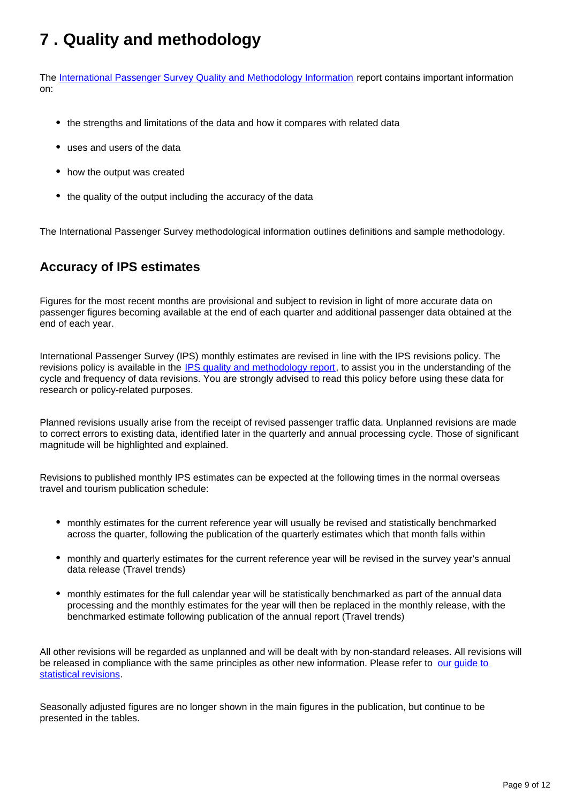# <span id="page-8-0"></span>**7 . Quality and methodology**

The [International Passenger Survey Quality and Methodology Information](https://www.ons.gov.uk/peoplepopulationandcommunity/leisureandtourism/qmis/internationalpassengersurveyipsqmi) report contains important information on:

- the strengths and limitations of the data and how it compares with related data
- uses and users of the data
- how the output was created
- the quality of the output including the accuracy of the data

The International Passenger Survey methodological information outlines definitions and sample methodology.

### **Accuracy of IPS estimates**

Figures for the most recent months are provisional and subject to revision in light of more accurate data on passenger figures becoming available at the end of each quarter and additional passenger data obtained at the end of each year.

International Passenger Survey (IPS) monthly estimates are revised in line with the IPS revisions policy. The revisions policy is available in the **[IPS quality and methodology report](http://www.ons.gov.uk/peoplepopulationandcommunity/leisureandtourism/qmis/internationalpassengersurveyipsqmi)**, to assist you in the understanding of the cycle and frequency of data revisions. You are strongly advised to read this policy before using these data for research or policy-related purposes.

Planned revisions usually arise from the receipt of revised passenger traffic data. Unplanned revisions are made to correct errors to existing data, identified later in the quarterly and annual processing cycle. Those of significant magnitude will be highlighted and explained.

Revisions to published monthly IPS estimates can be expected at the following times in the normal overseas travel and tourism publication schedule:

- monthly estimates for the current reference year will usually be revised and statistically benchmarked across the quarter, following the publication of the quarterly estimates which that month falls within
- monthly and quarterly estimates for the current reference year will be revised in the survey year's annual data release (Travel trends)
- monthly estimates for the full calendar year will be statistically benchmarked as part of the annual data processing and the monthly estimates for the year will then be replaced in the monthly release, with the benchmarked estimate following publication of the annual report (Travel trends)

All other revisions will be regarded as unplanned and will be dealt with by non-standard releases. All revisions will be released in compliance with the same principles as other new information. Please refer to [our guide to](http://www.ons.gov.uk/ons/guide-method/revisions/guide-to-statistical-revisions/index.html)  [statistical revisions](http://www.ons.gov.uk/ons/guide-method/revisions/guide-to-statistical-revisions/index.html).

Seasonally adjusted figures are no longer shown in the main figures in the publication, but continue to be presented in the tables.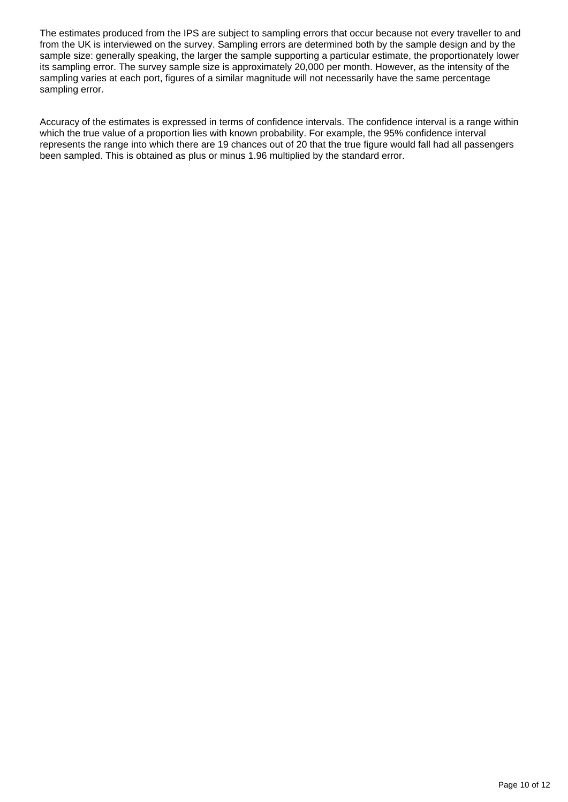The estimates produced from the IPS are subject to sampling errors that occur because not every traveller to and from the UK is interviewed on the survey. Sampling errors are determined both by the sample design and by the sample size: generally speaking, the larger the sample supporting a particular estimate, the proportionately lower its sampling error. The survey sample size is approximately 20,000 per month. However, as the intensity of the sampling varies at each port, figures of a similar magnitude will not necessarily have the same percentage sampling error.

Accuracy of the estimates is expressed in terms of confidence intervals. The confidence interval is a range within which the true value of a proportion lies with known probability. For example, the 95% confidence interval represents the range into which there are 19 chances out of 20 that the true figure would fall had all passengers been sampled. This is obtained as plus or minus 1.96 multiplied by the standard error.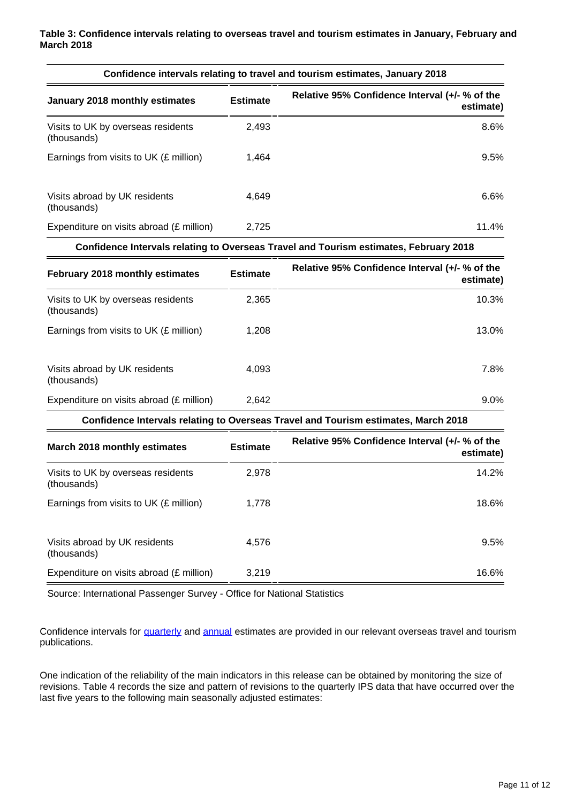| Confidence intervals relating to travel and tourism estimates, January 2018 |                 |                                                                                       |  |  |
|-----------------------------------------------------------------------------|-----------------|---------------------------------------------------------------------------------------|--|--|
| January 2018 monthly estimates                                              | <b>Estimate</b> | Relative 95% Confidence Interval (+/- % of the<br>estimate)                           |  |  |
| Visits to UK by overseas residents<br>(thousands)                           | 2,493           | 8.6%                                                                                  |  |  |
| Earnings from visits to UK (£ million)                                      | 1,464           | 9.5%                                                                                  |  |  |
| Visits abroad by UK residents<br>(thousands)                                | 4,649           | 6.6%                                                                                  |  |  |
| Expenditure on visits abroad (£ million)                                    | 2,725           | 11.4%                                                                                 |  |  |
|                                                                             |                 | Confidence Intervals relating to Overseas Travel and Tourism estimates, February 2018 |  |  |
| February 2018 monthly estimates                                             | <b>Estimate</b> | Relative 95% Confidence Interval (+/- % of the<br>estimate)                           |  |  |
| Visits to UK by overseas residents<br>(thousands)                           | 2,365           | 10.3%                                                                                 |  |  |
| Earnings from visits to UK (£ million)                                      | 1,208           | 13.0%                                                                                 |  |  |
| Visits abroad by UK residents<br>(thousands)                                | 4,093           | 7.8%                                                                                  |  |  |
| Expenditure on visits abroad (£ million)                                    | 2,642           | 9.0%                                                                                  |  |  |
|                                                                             |                 | Confidence Intervals relating to Overseas Travel and Tourism estimates, March 2018    |  |  |
| March 2018 monthly estimates                                                | <b>Estimate</b> | Relative 95% Confidence Interval (+/- % of the<br>estimate)                           |  |  |
| Visits to UK by overseas residents<br>(thousands)                           | 2,978           | 14.2%                                                                                 |  |  |
| Earnings from visits to UK (£ million)                                      | 1,778           | 18.6%                                                                                 |  |  |
| Visits abroad by UK residents                                               | 4,576           | 9.5%                                                                                  |  |  |

Source: International Passenger Survey - Office for National Statistics

(thousands)

Confidence intervals for [quarterly](http://www.ons.gov.uk/peoplepopulationandcommunity/leisureandtourism/articles/overseastravelandtourismprovisionalresults/previousReleases) and [annual](http://www.ons.gov.uk/peoplepopulationandcommunity/leisureandtourism/articles/traveltrends/previousReleases) estimates are provided in our relevant overseas travel and tourism publications.

Expenditure on visits abroad (£ million) 3,219 16.6%

One indication of the reliability of the main indicators in this release can be obtained by monitoring the size of revisions. Table 4 records the size and pattern of revisions to the quarterly IPS data that have occurred over the last five years to the following main seasonally adjusted estimates: